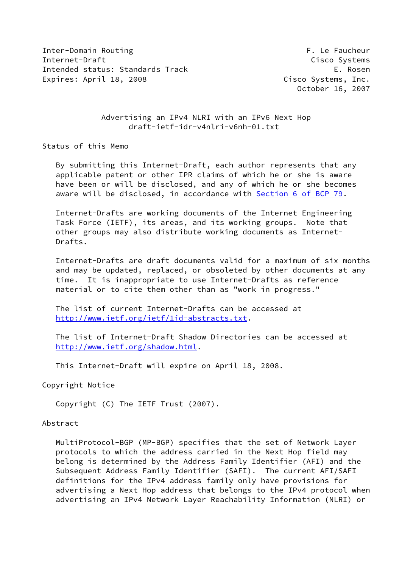Inter-Domain Routing F. Le Faucheur Internet-Draft Cisco Systems Intended status: Standards Track E. Rosen Expires: April 18, 2008 Cisco Systems, Inc.

October 16, 2007

## Advertising an IPv4 NLRI with an IPv6 Next Hop draft-ietf-idr-v4nlri-v6nh-01.txt

Status of this Memo

 By submitting this Internet-Draft, each author represents that any applicable patent or other IPR claims of which he or she is aware have been or will be disclosed, and any of which he or she becomes aware will be disclosed, in accordance with **Section [6 of BCP 79.](https://datatracker.ietf.org/doc/pdf/bcp79#section-6)** 

 Internet-Drafts are working documents of the Internet Engineering Task Force (IETF), its areas, and its working groups. Note that other groups may also distribute working documents as Internet- Drafts.

 Internet-Drafts are draft documents valid for a maximum of six months and may be updated, replaced, or obsoleted by other documents at any time. It is inappropriate to use Internet-Drafts as reference material or to cite them other than as "work in progress."

 The list of current Internet-Drafts can be accessed at <http://www.ietf.org/ietf/1id-abstracts.txt>.

 The list of Internet-Draft Shadow Directories can be accessed at <http://www.ietf.org/shadow.html>.

This Internet-Draft will expire on April 18, 2008.

Copyright Notice

Copyright (C) The IETF Trust (2007).

#### Abstract

 MultiProtocol-BGP (MP-BGP) specifies that the set of Network Layer protocols to which the address carried in the Next Hop field may belong is determined by the Address Family Identifier (AFI) and the Subsequent Address Family Identifier (SAFI). The current AFI/SAFI definitions for the IPv4 address family only have provisions for advertising a Next Hop address that belongs to the IPv4 protocol when advertising an IPv4 Network Layer Reachability Information (NLRI) or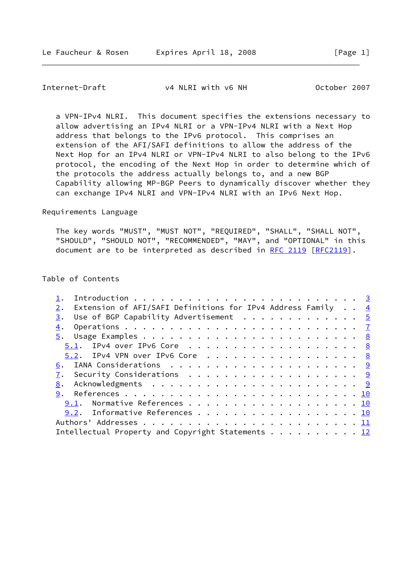## Internet-Draft v4 NLRI with v6 NH October 2007

 a VPN-IPv4 NLRI. This document specifies the extensions necessary to allow advertising an IPv4 NLRI or a VPN-IPv4 NLRI with a Next Hop address that belongs to the IPv6 protocol. This comprises an extension of the AFI/SAFI definitions to allow the address of the Next Hop for an IPv4 NLRI or VPN-IPv4 NLRI to also belong to the IPv6 protocol, the encoding of the Next Hop in order to determine which of the protocols the address actually belongs to, and a new BGP Capability allowing MP-BGP Peers to dynamically discover whether they can exchange IPv4 NLRI and VPN-IPv4 NLRI with an IPv6 Next Hop.

## Requirements Language

 The key words "MUST", "MUST NOT", "REQUIRED", "SHALL", "SHALL NOT", "SHOULD", "SHOULD NOT", "RECOMMENDED", "MAY", and "OPTIONAL" in this document are to be interpreted as described in [RFC 2119 \[RFC2119](https://datatracker.ietf.org/doc/pdf/rfc2119)].

#### Table of Contents

| Extension of AFI/SAFI Definitions for IPv4 Address Family $\cdot$ . $\frac{4}{5}$<br>2. |  |  |
|-----------------------------------------------------------------------------------------|--|--|
| Use of BGP Capability Advertisement $\cdots$ 5<br>3.                                    |  |  |
| 4.                                                                                      |  |  |
|                                                                                         |  |  |
| 5.1. IPv4 over IPv6 Core 8                                                              |  |  |
| $5.2$ . IPv4 VPN over IPv6 Core 8                                                       |  |  |
|                                                                                         |  |  |
|                                                                                         |  |  |
| 8.                                                                                      |  |  |
| 9.                                                                                      |  |  |
| 9.1. Normative References 10                                                            |  |  |
| 9.2. Informative References 10                                                          |  |  |
|                                                                                         |  |  |
| Intellectual Property and Copyright Statements 12                                       |  |  |
|                                                                                         |  |  |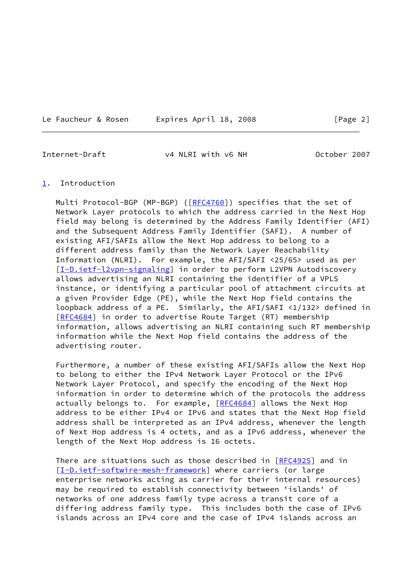Le Faucheur & Rosen Expires April 18, 2008 [Page 2]

<span id="page-2-1"></span>Internet-Draft v4 NLRI with v6 NH October 2007

#### <span id="page-2-0"></span>[1](#page-2-0). Introduction

Multi Protocol-BGP (MP-BGP) ([\[RFC4760](https://datatracker.ietf.org/doc/pdf/rfc4760)]) specifies that the set of Network Layer protocols to which the address carried in the Next Hop field may belong is determined by the Address Family Identifier (AFI) and the Subsequent Address Family Identifier (SAFI). A number of existing AFI/SAFIs allow the Next Hop address to belong to a different address family than the Network Layer Reachability Information (NLRI). For example, the AFI/SAFI <25/65> used as per [\[I-D.ietf-l2vpn-signaling](#page-10-3)] in order to perform L2VPN Autodiscovery allows advertising an NLRI containing the identifier of a VPLS instance, or identifying a particular pool of attachment circuits at a given Provider Edge (PE), while the Next Hop field contains the loopback address of a PE. Similarly, the AFI/SAFI <1/132> defined in [\[RFC4684](https://datatracker.ietf.org/doc/pdf/rfc4684)] in order to advertise Route Target (RT) membership information, allows advertising an NLRI containing such RT membership information while the Next Hop field contains the address of the advertising router.

 Furthermore, a number of these existing AFI/SAFIs allow the Next Hop to belong to either the IPv4 Network Layer Protocol or the IPv6 Network Layer Protocol, and specify the encoding of the Next Hop information in order to determine which of the protocols the address actually belongs to. For example, [[RFC4684\]](https://datatracker.ietf.org/doc/pdf/rfc4684) allows the Next Hop address to be either IPv4 or IPv6 and states that the Next Hop field address shall be interpreted as an IPv4 address, whenever the length of Next Hop address is 4 octets, and as a IPv6 address, whenever the length of the Next Hop address is 16 octets.

There are situations such as those described in [\[RFC4925](https://datatracker.ietf.org/doc/pdf/rfc4925)] and in [\[I-D.ietf-softwire-mesh-framework](#page-10-4)] where carriers (or large enterprise networks acting as carrier for their internal resources) may be required to establish connectivity between 'islands' of networks of one address family type across a transit core of a differing address family type. This includes both the case of IPv6 islands across an IPv4 core and the case of IPv4 islands across an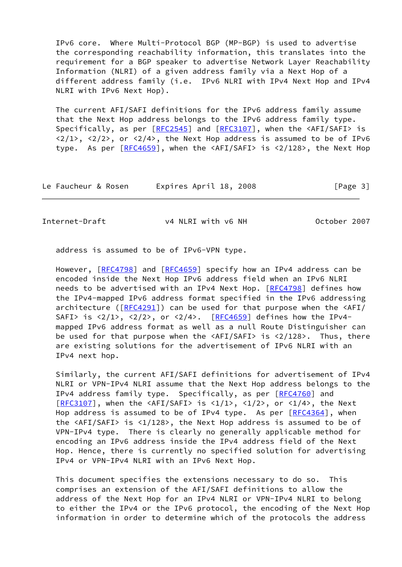IPv6 core. Where Multi-Protocol BGP (MP-BGP) is used to advertise the corresponding reachability information, this translates into the requirement for a BGP speaker to advertise Network Layer Reachability Information (NLRI) of a given address family via a Next Hop of a different address family (i.e. IPv6 NLRI with IPv4 Next Hop and IPv4 NLRI with IPv6 Next Hop).

 The current AFI/SAFI definitions for the IPv6 address family assume that the Next Hop address belongs to the IPv6 address family type. Specifically, as per  $[REC2545]$  and  $[REC3107]$ , when the  $\langle AFI/SAFI \rangle$  is  $\langle 2/1 \rangle$ ,  $\langle 2/2 \rangle$ , or  $\langle 2/4 \rangle$ , the Next Hop address is assumed to be of IPv6 type. As per  $[REC4659]$ , when the  $\langle AFI/SAFI \rangle$  is  $\langle 2/128 \rangle$ , the Next Hop

| Expires April 18, 2008<br>Le Faucheur & Rosen | [Page 3] |
|-----------------------------------------------|----------|
|-----------------------------------------------|----------|

<span id="page-3-0"></span>

Internet-Draft v4 NLRI with v6 NH October 2007

address is assumed to be of IPv6-VPN type.

However, [\[RFC4798](https://datatracker.ietf.org/doc/pdf/rfc4798)] and [\[RFC4659](https://datatracker.ietf.org/doc/pdf/rfc4659)] specify how an IPv4 address can be encoded inside the Next Hop IPv6 address field when an IPv6 NLRI needs to be advertised with an IPv4 Next Hop. [[RFC4798](https://datatracker.ietf.org/doc/pdf/rfc4798)] defines how the IPv4-mapped IPv6 address format specified in the IPv6 addressing architecture ( $[REG4291]$ ) can be used for that purpose when the  $\langle AFI \rangle$ SAFI> is  $\langle 2/1 \rangle$ ,  $\langle 2/2 \rangle$ , or  $\langle 2/4 \rangle$ . [[RFC4659](https://datatracker.ietf.org/doc/pdf/rfc4659)] defines how the IPv4 mapped IPv6 address format as well as a null Route Distinguisher can be used for that purpose when the <AFI/SAFI> is <2/128>. Thus, there are existing solutions for the advertisement of IPv6 NLRI with an IPv4 next hop.

 Similarly, the current AFI/SAFI definitions for advertisement of IPv4 NLRI or VPN-IPv4 NLRI assume that the Next Hop address belongs to the IPv4 address family type. Specifically, as per [\[RFC4760](https://datatracker.ietf.org/doc/pdf/rfc4760)] and  $[REC3107]$ , when the <AFI/SAFI> is <1/1>, <1/2>, or <1/4>, the Next Hop address is assumed to be of IPv4 type. As per [[RFC4364\]](https://datatracker.ietf.org/doc/pdf/rfc4364), when the <AFI/SAFI> is <1/128>, the Next Hop address is assumed to be of VPN-IPv4 type. There is clearly no generally applicable method for encoding an IPv6 address inside the IPv4 address field of the Next Hop. Hence, there is currently no specified solution for advertising IPv4 or VPN-IPv4 NLRI with an IPv6 Next Hop.

 This document specifies the extensions necessary to do so. This comprises an extension of the AFI/SAFI definitions to allow the address of the Next Hop for an IPv4 NLRI or VPN-IPv4 NLRI to belong to either the IPv4 or the IPv6 protocol, the encoding of the Next Hop information in order to determine which of the protocols the address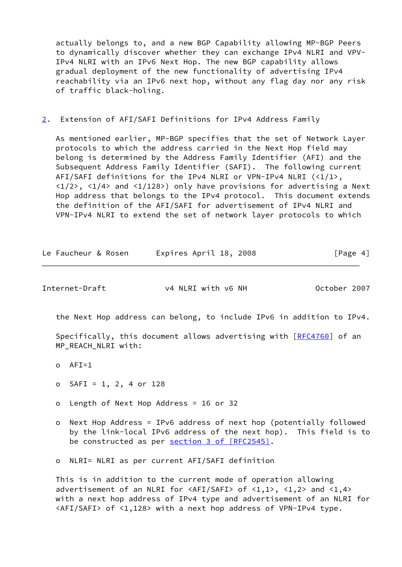actually belongs to, and a new BGP Capability allowing MP-BGP Peers to dynamically discover whether they can exchange IPv4 NLRI and VPV- IPv4 NLRI with an IPv6 Next Hop. The new BGP capability allows gradual deployment of the new functionality of advertising IPv4 reachability via an IPv6 next hop, without any flag day nor any risk of traffic black-holing.

<span id="page-4-0"></span>[2](#page-4-0). Extension of AFI/SAFI Definitions for IPv4 Address Family

 As mentioned earlier, MP-BGP specifies that the set of Network Layer protocols to which the address carried in the Next Hop field may belong is determined by the Address Family Identifier (AFI) and the Subsequent Address Family Identifier (SAFI). The following current AFI/SAFI definitions for the IPv4 NLRI or VPN-IPv4 NLRI (<1/1>,  $\langle 1/2 \rangle$ ,  $\langle 1/4 \rangle$  and  $\langle 1/128 \rangle$ ) only have provisions for advertising a Next Hop address that belongs to the IPv4 protocol. This document extends the definition of the AFI/SAFI for advertisement of IPv4 NLRI and VPN-IPv4 NLRI to extend the set of network layer protocols to which

| Le Faucheur & Rosen | Expires April 18, 2008 | [Page 4] |
|---------------------|------------------------|----------|
|---------------------|------------------------|----------|

<span id="page-4-1"></span>Internet-Draft v4 NLRI with v6 NH October 2007

the Next Hop address can belong, to include IPv6 in addition to IPv4.

Specifically, this document allows advertising with [\[RFC4760](https://datatracker.ietf.org/doc/pdf/rfc4760)] of an MP\_REACH\_NLRI with:

- o AFI=1
- o SAFI = 1, 2, 4 or 128
- o Length of Next Hop Address = 16 or 32
- o Next Hop Address = IPv6 address of next hop (potentially followed by the link-local IPv6 address of the next hop). This field is to be constructed as per section [3 of \[RFC2545\]](https://datatracker.ietf.org/doc/pdf/rfc2545#section-3).

o NLRI= NLRI as per current AFI/SAFI definition

 This is in addition to the current mode of operation allowing advertisement of an NLRI for  $\langle AFI/SAFI \rangle$  of  $\langle 1,1 \rangle$ ,  $\langle 1,2 \rangle$  and  $\langle 1,4 \rangle$  with a next hop address of IPv4 type and advertisement of an NLRI for <AFI/SAFI> of <1,128> with a next hop address of VPN-IPv4 type.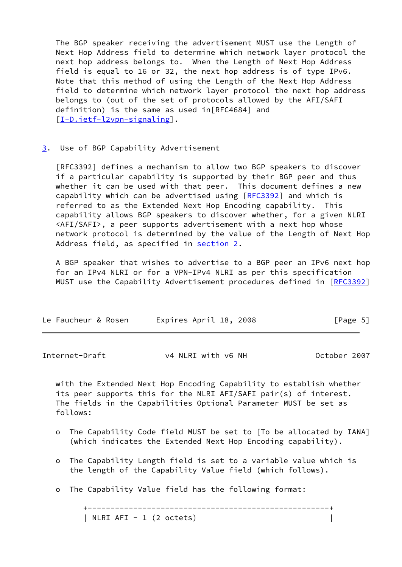The BGP speaker receiving the advertisement MUST use the Length of Next Hop Address field to determine which network layer protocol the next hop address belongs to. When the Length of Next Hop Address field is equal to 16 or 32, the next hop address is of type IPv6. Note that this method of using the Length of the Next Hop Address field to determine which network layer protocol the next hop address belongs to (out of the set of protocols allowed by the AFI/SAFI definition) is the same as used in[RFC4684] and [\[I-D.ietf-l2vpn-signaling](#page-10-3)].

#### <span id="page-5-0"></span>[3](#page-5-0). Use of BGP Capability Advertisement

 [RFC3392] defines a mechanism to allow two BGP speakers to discover if a particular capability is supported by their BGP peer and thus whether it can be used with that peer. This document defines a new capability which can be advertised using [\[RFC3392](https://datatracker.ietf.org/doc/pdf/rfc3392)] and which is referred to as the Extended Next Hop Encoding capability. This capability allows BGP speakers to discover whether, for a given NLRI <AFI/SAFI>, a peer supports advertisement with a next hop whose network protocol is determined by the value of the Length of Next Hop Address field, as specified in [section 2.](#page-4-0)

 A BGP speaker that wishes to advertise to a BGP peer an IPv6 next hop for an IPv4 NLRI or for a VPN-IPv4 NLRI as per this specification MUST use the Capability Advertisement procedures defined in [\[RFC3392](https://datatracker.ietf.org/doc/pdf/rfc3392)]

| Le Faucheur & Rosen | Expires April 18, 2008 | [Page 5] |
|---------------------|------------------------|----------|
|                     |                        |          |

Internet-Draft v4 NLRI with v6 NH October 2007

 with the Extended Next Hop Encoding Capability to establish whether its peer supports this for the NLRI AFI/SAFI pair(s) of interest. The fields in the Capabilities Optional Parameter MUST be set as follows:

- o The Capability Code field MUST be set to [To be allocated by IANA] (which indicates the Extended Next Hop Encoding capability).
- o The Capability Length field is set to a variable value which is the length of the Capability Value field (which follows).
- o The Capability Value field has the following format:

 +-----------------------------------------------------+ | NLRI AFI - 1 (2 octets) |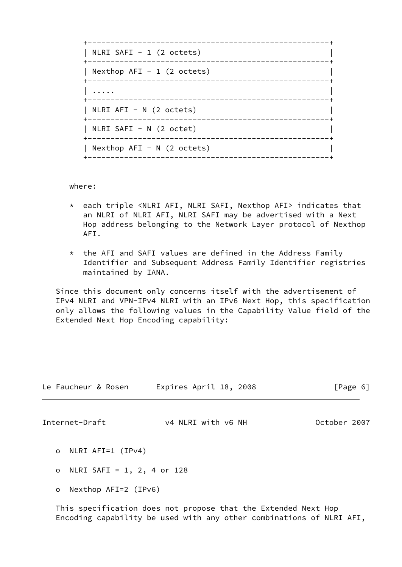| NLRI SAFI - 1 $(2 \text{ octets})$             |  |
|------------------------------------------------|--|
| Nexthop $AFI - 1$ (2 octets)                   |  |
| .                                              |  |
| $\vert$ NLRI AFI - N (2 octets)<br>___________ |  |
| NLRI SAFI - N (2 octet)                        |  |
| Nexthop $AFI - N$ (2 octets)<br>------------   |  |
|                                                |  |

where:

- \* each triple <NLRI AFI, NLRI SAFI, Nexthop AFI> indicates that an NLRI of NLRI AFI, NLRI SAFI may be advertised with a Next Hop address belonging to the Network Layer protocol of Nexthop AFI.
- \* the AFI and SAFI values are defined in the Address Family Identifier and Subsequent Address Family Identifier registries maintained by IANA.

 Since this document only concerns itself with the advertisement of IPv4 NLRI and VPN-IPv4 NLRI with an IPv6 Next Hop, this specification only allows the following values in the Capability Value field of the Extended Next Hop Encoding capability:

<span id="page-6-0"></span>

|         | Le Faucheur & Rosen        | Expires April 18, 2008 | [Page 6]     |
|---------|----------------------------|------------------------|--------------|
|         | Internet-Draft             | v4 NLRI with v6 NH     | October 2007 |
| $\circ$ | NLRI AFI=1 (IPv4)          |                        |              |
| $\circ$ | NLRI SAFI = 1, 2, 4 or 128 |                        |              |
| $\circ$ | Nexthop AFI=2 (IPv6)       |                        |              |

 This specification does not propose that the Extended Next Hop Encoding capability be used with any other combinations of NLRI AFI,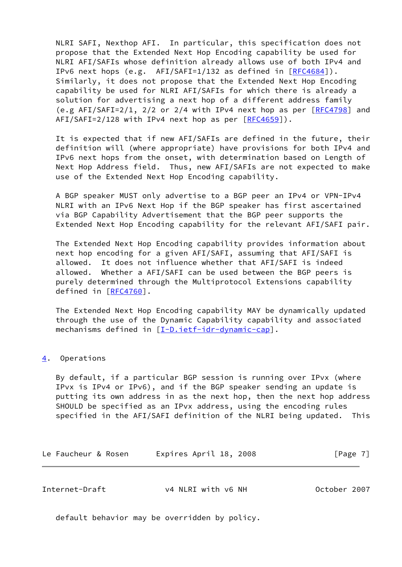NLRI SAFI, Nexthop AFI. In particular, this specification does not propose that the Extended Next Hop Encoding capability be used for NLRI AFI/SAFIs whose definition already allows use of both IPv4 and IPv6 next hops (e.g. AFI/SAFI=1/132 as defined in [[RFC4684\]](https://datatracker.ietf.org/doc/pdf/rfc4684)). Similarly, it does not propose that the Extended Next Hop Encoding capability be used for NLRI AFI/SAFIs for which there is already a solution for advertising a next hop of a different address family (e.g AFI/SAFI= $2/1$ ,  $2/2$  or  $2/4$  with IPv4 next hop as per  $[REC4798]$  and  $AFI/SAFI=2/128$  with IPv4 next hop as per  $[RFC4659]$  $[RFC4659]$ .

 It is expected that if new AFI/SAFIs are defined in the future, their definition will (where appropriate) have provisions for both IPv4 and IPv6 next hops from the onset, with determination based on Length of Next Hop Address field. Thus, new AFI/SAFIs are not expected to make use of the Extended Next Hop Encoding capability.

 A BGP speaker MUST only advertise to a BGP peer an IPv4 or VPN-IPv4 NLRI with an IPv6 Next Hop if the BGP speaker has first ascertained via BGP Capability Advertisement that the BGP peer supports the Extended Next Hop Encoding capability for the relevant AFI/SAFI pair.

 The Extended Next Hop Encoding capability provides information about next hop encoding for a given AFI/SAFI, assuming that AFI/SAFI is allowed. It does not influence whether that AFI/SAFI is indeed allowed. Whether a AFI/SAFI can be used between the BGP peers is purely determined through the Multiprotocol Extensions capability defined in [[RFC4760\]](https://datatracker.ietf.org/doc/pdf/rfc4760).

 The Extended Next Hop Encoding capability MAY be dynamically updated through the use of the Dynamic Capability capability and associated mechanisms defined in [[I-D.ietf-idr-dynamic-cap\]](#page-10-5).

## <span id="page-7-0"></span>[4](#page-7-0). Operations

 By default, if a particular BGP session is running over IPvx (where IPvx is IPv4 or IPv6), and if the BGP speaker sending an update is putting its own address in as the next hop, then the next hop address SHOULD be specified as an IPvx address, using the encoding rules specified in the AFI/SAFI definition of the NLRI being updated. This

Le Faucheur & Rosen Expires April 18, 2008 IPage 7]

<span id="page-7-1"></span>

| Internet-Draft | v4 NLRI with v6 NH | October 2007 |  |
|----------------|--------------------|--------------|--|
|                |                    |              |  |

default behavior may be overridden by policy.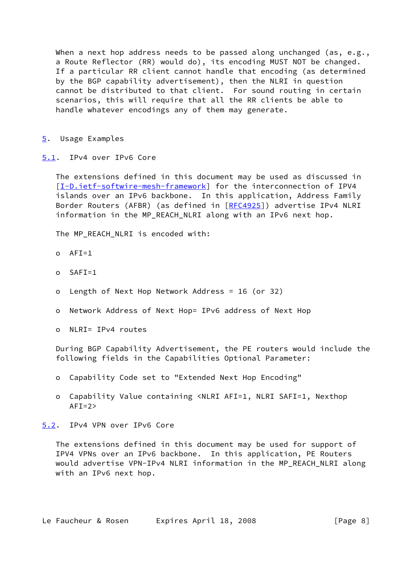When a next hop address needs to be passed along unchanged (as, e.g., a Route Reflector (RR) would do), its encoding MUST NOT be changed. If a particular RR client cannot handle that encoding (as determined by the BGP capability advertisement), then the NLRI in question cannot be distributed to that client. For sound routing in certain scenarios, this will require that all the RR clients be able to handle whatever encodings any of them may generate.

- <span id="page-8-0"></span>[5](#page-8-0). Usage Examples
- <span id="page-8-1"></span>[5.1](#page-8-1). IPv4 over IPv6 Core

 The extensions defined in this document may be used as discussed in [\[I-D.ietf-softwire-mesh-framework](#page-10-4)] for the interconnection of IPV4 islands over an IPv6 backbone. In this application, Address Family Border Routers (AFBR) (as defined in [\[RFC4925](https://datatracker.ietf.org/doc/pdf/rfc4925)]) advertise IPv4 NLRI information in the MP REACH NLRI along with an IPv6 next hop.

The MP REACH NLRI is encoded with:

- $O$  AFT=1
- o SAFI=1
- o Length of Next Hop Network Address = 16 (or 32)
- o Network Address of Next Hop= IPv6 address of Next Hop
- o NLRI= IPv4 routes

 During BGP Capability Advertisement, the PE routers would include the following fields in the Capabilities Optional Parameter:

- o Capability Code set to "Extended Next Hop Encoding"
- o Capability Value containing <NLRI AFI=1, NLRI SAFI=1, Nexthop  $AFI=2>$

<span id="page-8-2"></span>[5.2](#page-8-2). IPv4 VPN over IPv6 Core

 The extensions defined in this document may be used for support of IPV4 VPNs over an IPv6 backbone. In this application, PE Routers would advertise VPN-IPv4 NLRI information in the MP REACH NLRI along with an IPv6 next hop.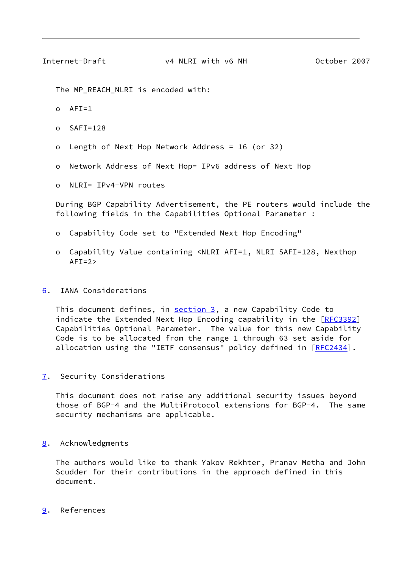<span id="page-9-1"></span>

The MP\_REACH\_NLRI is encoded with:

- $O$  AFT=1
- o SAFI=128
- o Length of Next Hop Network Address = 16 (or 32)
- o Network Address of Next Hop= IPv6 address of Next Hop
- o NLRI= IPv4-VPN routes

 During BGP Capability Advertisement, the PE routers would include the following fields in the Capabilities Optional Parameter :

- o Capability Code set to "Extended Next Hop Encoding"
- o Capability Value containing <NLRI AFI=1, NLRI SAFI=128, Nexthop  $AFI=2>$

# <span id="page-9-0"></span>[6](#page-9-0). IANA Considerations

This document defines, in [section 3,](#page-5-0) a new Capability Code to indicate the Extended Next Hop Encoding capability in the [[RFC3392](https://datatracker.ietf.org/doc/pdf/rfc3392)] Capabilities Optional Parameter. The value for this new Capability Code is to be allocated from the range 1 through 63 set aside for allocation using the "IETF consensus" policy defined in [\[RFC2434](https://datatracker.ietf.org/doc/pdf/rfc2434)].

<span id="page-9-2"></span>[7](#page-9-2). Security Considerations

 This document does not raise any additional security issues beyond those of BGP-4 and the MultiProtocol extensions for BGP-4. The same security mechanisms are applicable.

## <span id="page-9-3"></span>[8](#page-9-3). Acknowledgments

 The authors would like to thank Yakov Rekhter, Pranav Metha and John Scudder for their contributions in the approach defined in this document.

## <span id="page-9-4"></span>[9](#page-9-4). References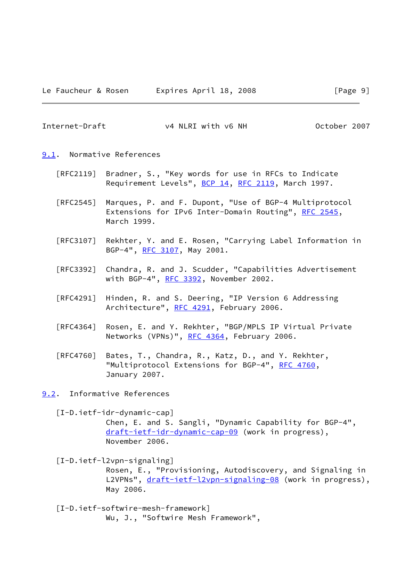<span id="page-10-0"></span>Internet-Draft v4 NLRI with v6 NH October 2007

- <span id="page-10-1"></span>[9.1](#page-10-1). Normative References
	- [RFC2119] Bradner, S., "Key words for use in RFCs to Indicate Requirement Levels", [BCP 14](https://datatracker.ietf.org/doc/pdf/bcp14), [RFC 2119](https://datatracker.ietf.org/doc/pdf/rfc2119), March 1997.
	- [RFC2545] Marques, P. and F. Dupont, "Use of BGP-4 Multiprotocol Extensions for IPv6 Inter-Domain Routing", [RFC 2545](https://datatracker.ietf.org/doc/pdf/rfc2545), March 1999.
	- [RFC3107] Rekhter, Y. and E. Rosen, "Carrying Label Information in BGP-4", [RFC 3107,](https://datatracker.ietf.org/doc/pdf/rfc3107) May 2001.
	- [RFC3392] Chandra, R. and J. Scudder, "Capabilities Advertisement with BGP-4", [RFC 3392](https://datatracker.ietf.org/doc/pdf/rfc3392), November 2002.
	- [RFC4291] Hinden, R. and S. Deering, "IP Version 6 Addressing Architecture", [RFC 4291](https://datatracker.ietf.org/doc/pdf/rfc4291), February 2006.
	- [RFC4364] Rosen, E. and Y. Rekhter, "BGP/MPLS IP Virtual Private Networks (VPNs)", [RFC 4364](https://datatracker.ietf.org/doc/pdf/rfc4364), February 2006.
	- [RFC4760] Bates, T., Chandra, R., Katz, D., and Y. Rekhter, "Multiprotocol Extensions for BGP-4", [RFC 4760](https://datatracker.ietf.org/doc/pdf/rfc4760), January 2007.
- <span id="page-10-2"></span>[9.2](#page-10-2). Informative References

<span id="page-10-5"></span> [I-D.ietf-idr-dynamic-cap] Chen, E. and S. Sangli, "Dynamic Capability for BGP-4", [draft-ietf-idr-dynamic-cap-09](https://datatracker.ietf.org/doc/pdf/draft-ietf-idr-dynamic-cap-09) (work in progress), November 2006.

- <span id="page-10-3"></span> [I-D.ietf-l2vpn-signaling] Rosen, E., "Provisioning, Autodiscovery, and Signaling in L2VPNs", [draft-ietf-l2vpn-signaling-08](https://datatracker.ietf.org/doc/pdf/draft-ietf-l2vpn-signaling-08) (work in progress), May 2006.
- <span id="page-10-4"></span> [I-D.ietf-softwire-mesh-framework] Wu, J., "Softwire Mesh Framework",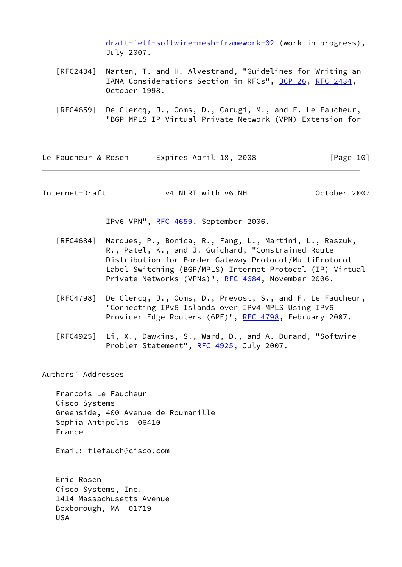[draft-ietf-softwire-mesh-framework-02](https://datatracker.ietf.org/doc/pdf/draft-ietf-softwire-mesh-framework-02) (work in progress), July 2007.

- [RFC2434] Narten, T. and H. Alvestrand, "Guidelines for Writing an IANA Considerations Section in RFCs", [BCP 26](https://datatracker.ietf.org/doc/pdf/bcp26), [RFC 2434](https://datatracker.ietf.org/doc/pdf/rfc2434), October 1998.
- [RFC4659] De Clercq, J., Ooms, D., Carugi, M., and F. Le Faucheur, "BGP-MPLS IP Virtual Private Network (VPN) Extension for

Le Faucheur & Rosen Expires April 18, 2008 [Page 10]

<span id="page-11-0"></span>Internet-Draft v4 NLRI with v6 NH October 2007

IPv6 VPN", [RFC 4659](https://datatracker.ietf.org/doc/pdf/rfc4659), September 2006.

- [RFC4684] Marques, P., Bonica, R., Fang, L., Martini, L., Raszuk, R., Patel, K., and J. Guichard, "Constrained Route Distribution for Border Gateway Protocol/MultiProtocol Label Switching (BGP/MPLS) Internet Protocol (IP) Virtual Private Networks (VPNs)", [RFC 4684](https://datatracker.ietf.org/doc/pdf/rfc4684), November 2006.
- [RFC4798] De Clercq, J., Ooms, D., Prevost, S., and F. Le Faucheur, "Connecting IPv6 Islands over IPv4 MPLS Using IPv6 Provider Edge Routers (6PE)", [RFC 4798](https://datatracker.ietf.org/doc/pdf/rfc4798), February 2007.
- [RFC4925] Li, X., Dawkins, S., Ward, D., and A. Durand, "Softwire Problem Statement", [RFC 4925,](https://datatracker.ietf.org/doc/pdf/rfc4925) July 2007.

Authors' Addresses

 Francois Le Faucheur Cisco Systems Greenside, 400 Avenue de Roumanille Sophia Antipolis 06410 France

Email: flefauch@cisco.com

 Eric Rosen Cisco Systems, Inc. 1414 Massachusetts Avenue Boxborough, MA 01719 USA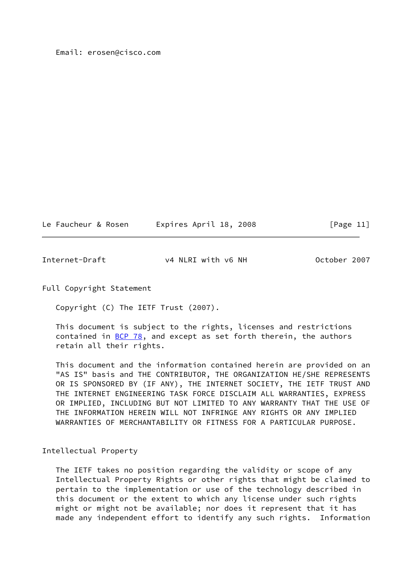#### Email: erosen@cisco.com

| Le Faucheur & Rosen | Expires April 18, 2008 | [Page 11] |
|---------------------|------------------------|-----------|
|---------------------|------------------------|-----------|

<span id="page-12-0"></span>Internet-Draft v4 NLRI with v6 NH October 2007

Full Copyright Statement

Copyright (C) The IETF Trust (2007).

 This document is subject to the rights, licenses and restrictions contained in **BCP 78**, and except as set forth therein, the authors retain all their rights.

 This document and the information contained herein are provided on an "AS IS" basis and THE CONTRIBUTOR, THE ORGANIZATION HE/SHE REPRESENTS OR IS SPONSORED BY (IF ANY), THE INTERNET SOCIETY, THE IETF TRUST AND THE INTERNET ENGINEERING TASK FORCE DISCLAIM ALL WARRANTIES, EXPRESS OR IMPLIED, INCLUDING BUT NOT LIMITED TO ANY WARRANTY THAT THE USE OF THE INFORMATION HEREIN WILL NOT INFRINGE ANY RIGHTS OR ANY IMPLIED WARRANTIES OF MERCHANTABILITY OR FITNESS FOR A PARTICULAR PURPOSE.

## Intellectual Property

 The IETF takes no position regarding the validity or scope of any Intellectual Property Rights or other rights that might be claimed to pertain to the implementation or use of the technology described in this document or the extent to which any license under such rights might or might not be available; nor does it represent that it has made any independent effort to identify any such rights. Information